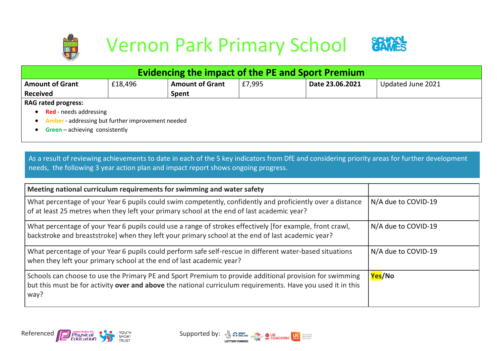



| Evidencing the impact of the PE and Sport Premium                     |                        |        |                 |                   |  |  |  |  |
|-----------------------------------------------------------------------|------------------------|--------|-----------------|-------------------|--|--|--|--|
| £18,496                                                               | <b>Amount of Grant</b> | £7,995 | Date 23.06.2021 | Updated June 2021 |  |  |  |  |
|                                                                       | Spent                  |        |                 |                   |  |  |  |  |
|                                                                       |                        |        |                 |                   |  |  |  |  |
| <b>Red</b> - needs addressing                                         |                        |        |                 |                   |  |  |  |  |
| <b>Amber</b> - addressing but further improvement needed<br>$\bullet$ |                        |        |                 |                   |  |  |  |  |
|                                                                       |                        |        |                 |                   |  |  |  |  |

• **Green** – achieving consistently

As a result of reviewing achievements to date in each of the 5 key indicators from DfE and considering priority areas for further development needs, the following 3 year action plan and impact report shows ongoing progress.

| Meeting national curriculum requirements for swimming and water safety                                                                                                                                                         |                     |
|--------------------------------------------------------------------------------------------------------------------------------------------------------------------------------------------------------------------------------|---------------------|
| What percentage of your Year 6 pupils could swim competently, confidently and proficiently over a distance<br>of at least 25 metres when they left your primary school at the end of last academic year?                       | N/A due to COVID-19 |
| What percentage of your Year 6 pupils could use a range of strokes effectively [for example, front crawl,<br>backstroke and breaststroke] when they left your primary school at the end of last academic year?                 | N/A due to COVID-19 |
| What percentage of your Year 6 pupils could perform safe self-rescue in different water-based situations<br>when they left your primary school at the end of last academic year?                                               | N/A due to COVID-19 |
| Schools can choose to use the Primary PE and Sport Premium to provide additional provision for swimming<br>but this must be for activity over and above the national curriculum requirements. Have you used it in this<br>way? | Yes/No              |



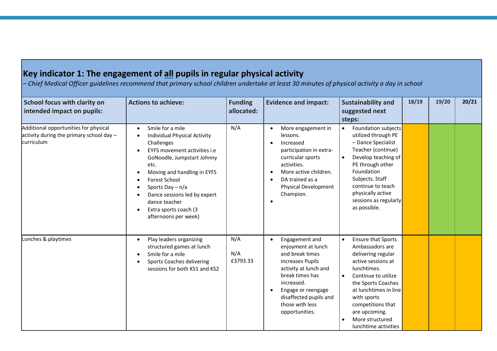## **Key indicator 1: The engagement of all pupils in regular physical activity**

*– Chief Medical Officer guidelines recommend that primary school children undertake at least 30 minutes of physical activity a day in school*

| School focus with clarity on<br>intended impact on pupils:                                        | <b>Actions to achieve:</b>                                                                                                                                                                                                                                                                                           | <b>Funding</b><br>allocated: | <b>Evidence and impact:</b>                                                                                                                                                                                                                          | <b>Sustainability and</b><br>suggested next<br>steps:                                                                                                                                                                                                                                                   | 18/19 | 19/20 | 20/21 |
|---------------------------------------------------------------------------------------------------|----------------------------------------------------------------------------------------------------------------------------------------------------------------------------------------------------------------------------------------------------------------------------------------------------------------------|------------------------------|------------------------------------------------------------------------------------------------------------------------------------------------------------------------------------------------------------------------------------------------------|---------------------------------------------------------------------------------------------------------------------------------------------------------------------------------------------------------------------------------------------------------------------------------------------------------|-------|-------|-------|
| Additional opportunities for physical<br>activity during the primary school day $-$<br>curriculum | Smile for a mile<br><b>Individual Physical Activity</b><br>Challenges<br>EYFS movement activities i.e.<br>GoNoodle, Jumpstart Johnny<br>etc.<br>Moving and handling in EYFS<br>Forest School<br>Sports Day $- n/a$<br>Dance sessions led by expert<br>dance teacher<br>Extra sports coach (3<br>afternoons per week) | N/A                          | More engagement in<br>$\bullet$<br>lessons.<br>Increased<br>participation in extra-<br>curricular sports<br>activities.<br>More active children.<br>٠<br>DA trained as a<br>$\bullet$<br><b>Physical Development</b><br>Champion.                    | Foundation subjects<br>$\bullet$<br>utilized through PE<br>- Dance Specialist<br>Teacher (continue)<br>Develop teaching of<br>$\bullet$<br>PE through other<br>Foundation<br>Subjects. Staff<br>continue to teach<br>physically active<br>sessions as regularly<br>as possible.                         |       |       |       |
| Lunches & playtimes                                                                               | Play leaders organizing<br>$\bullet$<br>structured games at lunch<br>Smile for a mile<br><b>Sports Coaches delivering</b><br>sessions for both KS1 and KS2                                                                                                                                                           | N/A<br>N/A<br>£3793.33       | Engagement and<br>$\bullet$<br>enjoyment at lunch<br>and break times<br>increases Pupils<br>activity at lunch and<br>break times has<br>increased.<br>Engage or reengage<br>$\bullet$<br>disaffected pupils and<br>those with less<br>opportunities. | <b>Ensure that Sports</b><br>$\bullet$<br>Ambassadors are<br>delivering regular<br>active sessions at<br>lunchtimes.<br>Continue to utilize<br>$\bullet$<br>the Sports Coaches<br>at lunchtimes in line<br>with sports<br>competitions that<br>are upcoming.<br>More structured<br>lunchtime activities |       |       |       |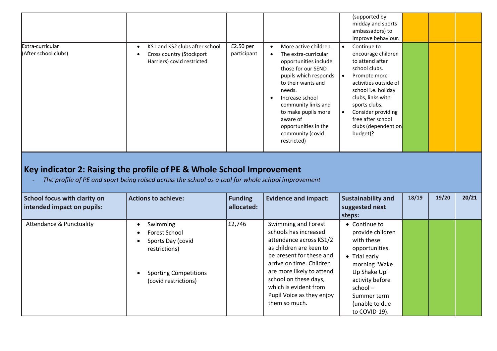|                                          |                                                                                                        |                          |                                                                                                                                                                                                                                                                                                                         | (supported by<br>midday and sports<br>ambassadors) to<br>improve behaviour.                                                                                                                                                                                                                      |  |  |
|------------------------------------------|--------------------------------------------------------------------------------------------------------|--------------------------|-------------------------------------------------------------------------------------------------------------------------------------------------------------------------------------------------------------------------------------------------------------------------------------------------------------------------|--------------------------------------------------------------------------------------------------------------------------------------------------------------------------------------------------------------------------------------------------------------------------------------------------|--|--|
| Extra-curricular<br>(After school clubs) | KS1 and KS2 clubs after school.<br>$\bullet$<br>Cross country (Stockport<br>Harriers) covid restricted | £2.50 per<br>participant | More active children.<br>$\bullet$<br>The extra-curricular<br>opportunities include<br>those for our SEND<br>pupils which responds<br>to their wants and<br>needs.<br>Increase school<br>$\bullet$<br>community links and<br>to make pupils more<br>aware of<br>opportunities in the<br>community (covid<br>restricted) | Continue to<br>$\bullet$<br>encourage children<br>to attend after<br>school clubs.<br>Promote more<br>$\bullet$<br>activities outside of<br>school i.e. holiday<br>clubs, links with<br>sports clubs.<br>Consider providing<br>$\bullet$<br>free after school<br>clubs (dependent on<br>budget)? |  |  |
|                                          |                                                                                                        |                          |                                                                                                                                                                                                                                                                                                                         |                                                                                                                                                                                                                                                                                                  |  |  |

## **Key indicator 2: Raising the profile of PE & Whole School Improvement**

*- The profile of PE and sport being raised across the school as a tool for whole school improvement*

| <b>School focus with clarity on</b><br>intended impact on pupils: | <b>Actions to achieve:</b>                                                                                              | <b>Funding</b><br>allocated: | <b>Evidence and impact:</b>                                                                                                                                                                                                                                                             | <b>Sustainability and</b><br>suggested next<br>steps:                                                                                                                                                  | 18/19 | 19/20 | 20/21 |
|-------------------------------------------------------------------|-------------------------------------------------------------------------------------------------------------------------|------------------------------|-----------------------------------------------------------------------------------------------------------------------------------------------------------------------------------------------------------------------------------------------------------------------------------------|--------------------------------------------------------------------------------------------------------------------------------------------------------------------------------------------------------|-------|-------|-------|
| <b>Attendance &amp; Punctuality</b>                               | Swimming<br>Forest School<br>Sports Day (covid<br>restrictions)<br><b>Sporting Competitions</b><br>(covid restrictions) | £2,746                       | Swimming and Forest<br>schools has increased<br>attendance across KS1/2<br>as children are keen to<br>be present for these and<br>arrive on time. Children<br>are more likely to attend<br>school on these days,<br>which is evident from<br>Pupil Voice as they enjoy<br>them so much. | • Continue to<br>provide children<br>with these<br>opportunities.<br>• Trial early<br>morning 'Wake<br>Up Shake Up'<br>activity before<br>$school -$<br>Summer term<br>(unable to due<br>to COVID-19). |       |       |       |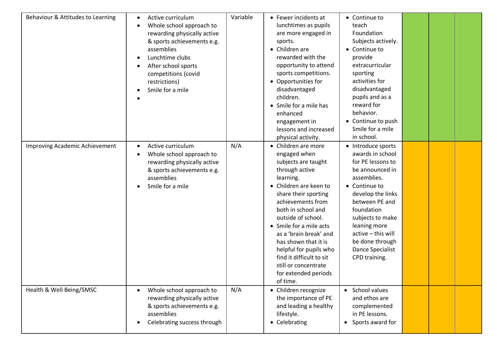| Behaviour & Attitudes to Learning | Active curriculum<br>$\bullet$<br>Whole school approach to<br>$\bullet$<br>rewarding physically active<br>& sports achievements e.g.<br>assemblies<br>Lunchtime clubs<br>$\bullet$<br>After school sports<br>competitions (covid<br>restrictions)<br>Smile for a mile | Variable | • Fewer incidents at<br>lunchtimes as pupils<br>are more engaged in<br>sports.<br>• Children are<br>rewarded with the<br>opportunity to attend<br>sports competitions.<br>• Opportunities for<br>disadvantaged<br>children.<br>• Smile for a mile has<br>enhanced<br>engagement in<br>lessons and increased<br>physical activity.                                                                           | • Continue to<br>teach<br>Foundation<br>Subjects actively.<br>• Continue to<br>provide<br>extracurricular<br>sporting<br>activities for<br>disadvantaged<br>pupils and as a<br>reward for<br>behavior.<br>• Continue to push<br>Smile for a mile<br>in school.                        |  |  |
|-----------------------------------|-----------------------------------------------------------------------------------------------------------------------------------------------------------------------------------------------------------------------------------------------------------------------|----------|-------------------------------------------------------------------------------------------------------------------------------------------------------------------------------------------------------------------------------------------------------------------------------------------------------------------------------------------------------------------------------------------------------------|---------------------------------------------------------------------------------------------------------------------------------------------------------------------------------------------------------------------------------------------------------------------------------------|--|--|
| Improving Academic Achievement    | Active curriculum<br>$\bullet$<br>Whole school approach to<br>rewarding physically active<br>& sports achievements e.g.<br>assemblies<br>Smile for a mile                                                                                                             | N/A      | • Children are more<br>engaged when<br>subjects are taught<br>through active<br>learning.<br>• Children are keen to<br>share their sporting<br>achievements from<br>both in school and<br>outside of school.<br>• Smile for a mile acts<br>as a 'brain break' and<br>has shown that it is<br>helpful for pupils who<br>find it difficult to sit<br>still or concentrate<br>for extended periods<br>of time. | • Introduce sports<br>awards in school<br>for PE lessons to<br>be announced in<br>assemblies.<br>• Continue to<br>develop the links<br>between PE and<br>foundation<br>subjects to make<br>leaning more<br>active - this will<br>be done through<br>Dance Specialist<br>CPD training. |  |  |
| Health & Well Being/SMSC          | Whole school approach to<br>$\bullet$<br>rewarding physically active<br>& sports achievements e.g.<br>assemblies<br>Celebrating success through                                                                                                                       | N/A      | • Children recognize<br>the importance of PE<br>and leading a healthy<br>lifestyle.<br>• Celebrating                                                                                                                                                                                                                                                                                                        | • School values<br>and ethos are<br>complemented<br>in PE lessons.<br>• Sports award for                                                                                                                                                                                              |  |  |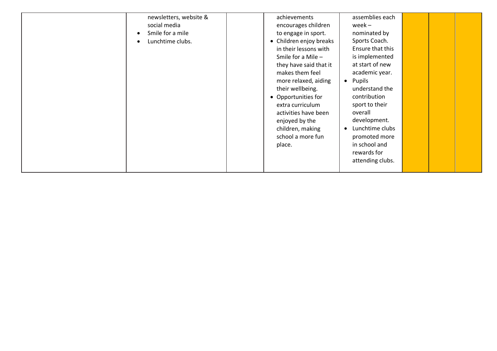| newsletters, website &<br>social media<br>Smile for a mile<br>Lunchtime clubs. |  | achievements<br>encourages children<br>to engage in sport.<br>• Children enjoy breaks<br>in their lessons with<br>Smile for a Mile -<br>they have said that it<br>makes them feel<br>more relaxed, aiding<br>their wellbeing.<br>• Opportunities for<br>extra curriculum<br>activities have been<br>enjoyed by the<br>children, making<br>school a more fun<br>place. | assemblies each<br>$week -$<br>nominated by<br>Sports Coach.<br>Ensure that this<br>is implemented<br>at start of new<br>academic year.<br>Pupils<br>$\bullet$<br>understand the<br>contribution<br>sport to their<br>overall<br>development.<br>Lunchtime clubs<br>promoted more<br>in school and<br>rewards for<br>attending clubs. |  |  |  |
|--------------------------------------------------------------------------------|--|-----------------------------------------------------------------------------------------------------------------------------------------------------------------------------------------------------------------------------------------------------------------------------------------------------------------------------------------------------------------------|---------------------------------------------------------------------------------------------------------------------------------------------------------------------------------------------------------------------------------------------------------------------------------------------------------------------------------------|--|--|--|
|--------------------------------------------------------------------------------|--|-----------------------------------------------------------------------------------------------------------------------------------------------------------------------------------------------------------------------------------------------------------------------------------------------------------------------------------------------------------------------|---------------------------------------------------------------------------------------------------------------------------------------------------------------------------------------------------------------------------------------------------------------------------------------------------------------------------------------|--|--|--|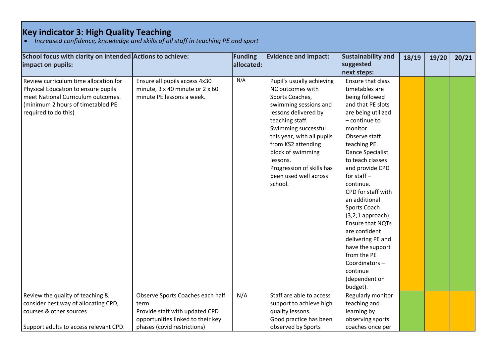## **Key indicator 3: High Quality Teaching**

• *Increased confidence, knowledge and skills of all staff in teaching PE and sport*

| School focus with clarity on intended Actions to achieve: |                                   | Funding    | <b>Evidence and impact:</b> | Sustainability and      | 18/19 | 19/20 | 20/21 |
|-----------------------------------------------------------|-----------------------------------|------------|-----------------------------|-------------------------|-------|-------|-------|
| impact on pupils:                                         |                                   | allocated: |                             | suggested               |       |       |       |
|                                                           |                                   |            |                             | next steps:             |       |       |       |
| Review curriculum time allocation for                     | Ensure all pupils access 4x30     | N/A        | Pupil's usually achieving   | Ensure that class       |       |       |       |
| Physical Education to ensure pupils                       | minute, 3 x 40 minute or 2 x 60   |            | NC outcomes with            | timetables are          |       |       |       |
| meet National Curriculum outcomes.                        | minute PE lessons a week.         |            | Sports Coaches,             | being followed          |       |       |       |
| (minimum 2 hours of timetabled PE                         |                                   |            | swimming sessions and       | and that PE slots       |       |       |       |
| required to do this)                                      |                                   |            | lessons delivered by        | are being utilized      |       |       |       |
|                                                           |                                   |            | teaching staff.             | $-$ continue to         |       |       |       |
|                                                           |                                   |            | Swimming successful         | monitor.                |       |       |       |
|                                                           |                                   |            | this year, with all pupils  | Observe staff           |       |       |       |
|                                                           |                                   |            | from KS2 attending          | teaching PE.            |       |       |       |
|                                                           |                                   |            | block of swimming           | <b>Dance Specialist</b> |       |       |       |
|                                                           |                                   |            | lessons.                    | to teach classes        |       |       |       |
|                                                           |                                   |            | Progression of skills has   | and provide CPD         |       |       |       |
|                                                           |                                   |            | been used well across       | for staff $-$           |       |       |       |
|                                                           |                                   |            | school.                     | continue.               |       |       |       |
|                                                           |                                   |            |                             | CPD for staff with      |       |       |       |
|                                                           |                                   |            |                             | an additional           |       |       |       |
|                                                           |                                   |            |                             | Sports Coach            |       |       |       |
|                                                           |                                   |            |                             | $(3,2,1)$ approach).    |       |       |       |
|                                                           |                                   |            |                             | Ensure that NQTs        |       |       |       |
|                                                           |                                   |            |                             | are confident           |       |       |       |
|                                                           |                                   |            |                             | delivering PE and       |       |       |       |
|                                                           |                                   |            |                             | have the support        |       |       |       |
|                                                           |                                   |            |                             | from the PE             |       |       |       |
|                                                           |                                   |            |                             | Coordinators-           |       |       |       |
|                                                           |                                   |            |                             | continue                |       |       |       |
|                                                           |                                   |            |                             | (dependent on           |       |       |       |
|                                                           |                                   |            |                             | budget).                |       |       |       |
| Review the quality of teaching &                          | Observe Sports Coaches each half  | N/A        | Staff are able to access    | Regularly monitor       |       |       |       |
| consider best way of allocating CPD,                      | term.                             |            | support to achieve high     | teaching and            |       |       |       |
| courses & other sources                                   | Provide staff with updated CPD    |            | quality lessons.            | learning by             |       |       |       |
|                                                           | opportunities linked to their key |            | Good practice has been      | observing sports        |       |       |       |
| Support adults to access relevant CPD.                    | phases (covid restrictions)       |            | observed by Sports          | coaches once per        |       |       |       |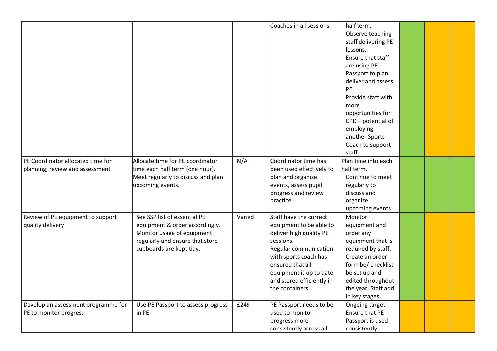|                                     |                                    |        | Coaches in all sessions.  | half term.                      |  |  |
|-------------------------------------|------------------------------------|--------|---------------------------|---------------------------------|--|--|
|                                     |                                    |        |                           | Observe teaching                |  |  |
|                                     |                                    |        |                           | staff delivering PE<br>lessons. |  |  |
|                                     |                                    |        |                           | Ensure that staff               |  |  |
|                                     |                                    |        |                           | are using PE                    |  |  |
|                                     |                                    |        |                           | Passport to plan,               |  |  |
|                                     |                                    |        |                           | deliver and assess              |  |  |
|                                     |                                    |        |                           | PE.                             |  |  |
|                                     |                                    |        |                           | Provide staff with              |  |  |
|                                     |                                    |        |                           | more                            |  |  |
|                                     |                                    |        |                           | opportunities for               |  |  |
|                                     |                                    |        |                           | CPD - potential of              |  |  |
|                                     |                                    |        |                           | employing                       |  |  |
|                                     |                                    |        |                           | another Sports                  |  |  |
|                                     |                                    |        |                           | Coach to support                |  |  |
|                                     |                                    |        |                           | staff.                          |  |  |
| PE Coordinator allocated time for   | Allocate time for PE coordinator   | N/A    | Coordinator time has      | Plan time into each             |  |  |
| planning, review and assessment     | time each half term (one hour).    |        | been used effectively to  | half term.                      |  |  |
|                                     | Meet regularly to discuss and plan |        | plan and organize         | Continue to meet                |  |  |
|                                     | upcoming events.                   |        | events, assess pupil      | regularly to                    |  |  |
|                                     |                                    |        | progress and review       | discuss and                     |  |  |
|                                     |                                    |        | practice.                 | organize                        |  |  |
|                                     |                                    |        |                           | upcoming events.                |  |  |
| Review of PE equipment to support   | See SSP list of essential PE       | Varied | Staff have the correct    | Monitor                         |  |  |
| quality delivery                    | equipment & order accordingly.     |        | equipment to be able to   | equipment and                   |  |  |
|                                     | Monitor usage of equipment         |        | deliver high quality PE   | order any                       |  |  |
|                                     | regularly and ensure that store    |        | sessions.                 | equipment that is               |  |  |
|                                     | cupboards are kept tidy.           |        | Regular communication     | required by staff.              |  |  |
|                                     |                                    |        | with sports coach has     | Create an order                 |  |  |
|                                     |                                    |        | ensured that all          | form be/ checklist              |  |  |
|                                     |                                    |        | equipment is up to date   | be set up and                   |  |  |
|                                     |                                    |        | and stored efficiently in | edited throughout               |  |  |
|                                     |                                    |        | the containers.           | the year. Staff add             |  |  |
|                                     |                                    |        |                           | in key stages.                  |  |  |
| Develop an assessment programme for | Use PE Passport to assess progress | £249   | PE Passport needs to be   | Ongoing target -                |  |  |
| PE to monitor progress              | in PE.                             |        | used to monitor           | Ensure that PE                  |  |  |
|                                     |                                    |        | progress more             | Passport is used                |  |  |
|                                     |                                    |        | consistently across all   | consistently                    |  |  |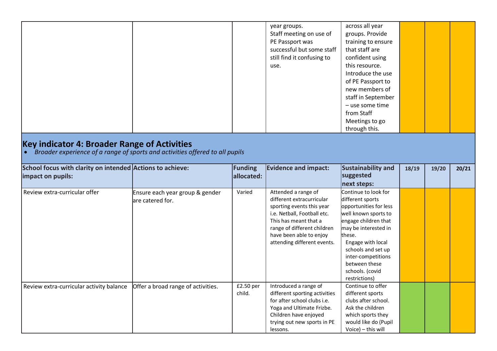| Key indicator 4: Broader Range of Activities<br>Broader experience of a range of sports and activities offered to all pupils |                                                      |                              | Staff meeting on use of<br>PE Passport was<br>successful but some staff<br>still find it confusing to<br>use.                                                                                                                  | groups. Provide<br>training to ensure<br>that staff are<br>confident using<br>this resource.<br>Introduce the use<br>of PE Passport to<br>new members of<br>staff in September<br>- use some time<br>from Staff<br>Meetings to go<br>through this. |       |       |       |
|------------------------------------------------------------------------------------------------------------------------------|------------------------------------------------------|------------------------------|--------------------------------------------------------------------------------------------------------------------------------------------------------------------------------------------------------------------------------|----------------------------------------------------------------------------------------------------------------------------------------------------------------------------------------------------------------------------------------------------|-------|-------|-------|
| School focus with clarity on intended Actions to achieve:<br>impact on pupils:                                               |                                                      | <b>Funding</b><br>allocated: | <b>Evidence and impact:</b>                                                                                                                                                                                                    | Sustainability and<br>suggested<br>next steps:                                                                                                                                                                                                     | 18/19 | 19/20 | 20/21 |
| Review extra-curricular offer                                                                                                | Ensure each year group & gender<br>lare catered for. | Varied                       | Attended a range of<br>different extracurricular<br>sporting events this year<br>i.e. Netball, Football etc.<br>This has meant that a<br>range of different children<br>have been able to enjoy<br>attending different events. | Continue to look for<br>different sports<br>opportunities for less<br>well known sports to<br>engage children that<br>may be interested in<br>these.<br>Engage with local<br>schools and set up<br>inter-competitions<br>between these             |       |       |       |

child.

Introduced a range of different sporting activities for after school clubs i.e. Yoga and Ultimate Frizbe. Children have enjoyed trying out new sports in PE

lessons.

Review extra-curricular activity balance  $\int$  Offer a broad range of activities.  $\int$  £2.50 per

schools. (covid restrictions)

Continue to offer different sports clubs after school. Ask the children which sports they would like do (Pupil Voice) – this will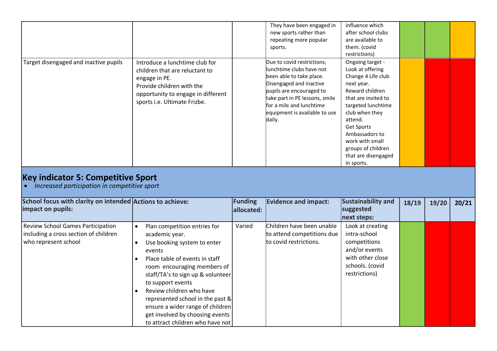|                                       |                                                                                                                                                                                      | They have been engaged in<br>new sports rather than<br>repeating more popular<br>sports.                                                                                                                                                           | influence which<br>after school clubs<br>are available to<br>them. (covid<br>restrictions)                                                                                                                                                                                                 |  |  |
|---------------------------------------|--------------------------------------------------------------------------------------------------------------------------------------------------------------------------------------|----------------------------------------------------------------------------------------------------------------------------------------------------------------------------------------------------------------------------------------------------|--------------------------------------------------------------------------------------------------------------------------------------------------------------------------------------------------------------------------------------------------------------------------------------------|--|--|
| Target disengaged and inactive pupils | Introduce a lunchtime club for<br>children that are reluctant to<br>engage in PE.<br>Provide children with the<br>opportunity to engage in different<br>sports i.e. Ultimate Frizbe. | Due to covid restrictions,<br>lunchtime clubs have not<br>been able to take place.<br>Disengaged and inactive<br>pupils are encouraged to<br>take part in PE lessons, smile<br>for a mile and lunchtime<br>equipment is available to use<br>daily. | Ongoing target -<br>Look at offering<br>Change 4 Life club<br>next year.<br>Reward children<br>that are invited to<br>targeted lunchtime<br>club when they<br>attend.<br><b>Get Sports</b><br>Ambassadors to<br>work with small<br>groups of children<br>that are disengaged<br>in sports. |  |  |

## **Key indicator 5: Competitive Sport**

• *Increased participation in competitive sport*

| School focus with clarity on intended Actions to achieve:<br>impact on pupils:                     |                                                                                                                                                                                                                                                                                                                                                                                               | Funding<br>allocated: | <b>Evidence and impact:</b>                                                       | Sustainability and<br>suggested<br>next steps:                                                                            | 18/19 | 19/20 | 20/21 |
|----------------------------------------------------------------------------------------------------|-----------------------------------------------------------------------------------------------------------------------------------------------------------------------------------------------------------------------------------------------------------------------------------------------------------------------------------------------------------------------------------------------|-----------------------|-----------------------------------------------------------------------------------|---------------------------------------------------------------------------------------------------------------------------|-------|-------|-------|
| Review School Games Participation<br>including a cross section of children<br>who represent school | Plan competition entries for<br>academic year.<br>Use booking system to enter<br>events<br>Place table of events in staff<br>room encouraging members of<br>staff/TA's to sign up & volunteer<br>to support events<br>Review children who have<br>represented school in the past &<br>ensure a wider range of children<br>get involved by choosing events<br>to attract children who have not | Varied                | Children have been unable<br>to attend competitions due<br>to covid restrictions. | Look at creating<br>intra-school<br>competitions<br>and/or events<br>with other close<br>schools. (covid<br>restrictions) |       |       |       |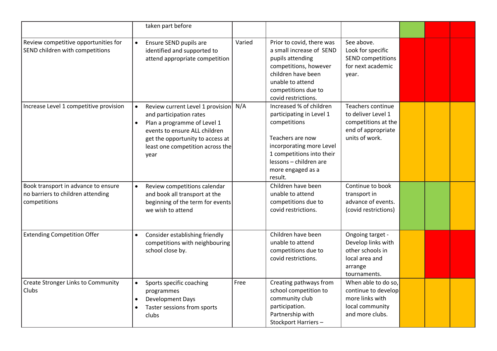|                                                                                          | taken part before                                                                                                                                                                                                            |        |                                                                                                                                                                                                            |                                                                                                         |  |  |
|------------------------------------------------------------------------------------------|------------------------------------------------------------------------------------------------------------------------------------------------------------------------------------------------------------------------------|--------|------------------------------------------------------------------------------------------------------------------------------------------------------------------------------------------------------------|---------------------------------------------------------------------------------------------------------|--|--|
| Review competitive opportunities for<br>SEND children with competitions                  | Ensure SEND pupils are<br>$\bullet$<br>identified and supported to<br>attend appropriate competition                                                                                                                         | Varied | Prior to covid, there was<br>a small increase of SEND<br>pupils attending<br>competitions, however<br>children have been<br>unable to attend<br>competitions due to<br>covid restrictions.                 | See above.<br>Look for specific<br><b>SEND competitions</b><br>for next academic<br>year.               |  |  |
| Increase Level 1 competitive provision                                                   | Review current Level 1 provision N/A<br>and participation rates<br>Plan a programme of Level 1<br>$\bullet$<br>events to ensure ALL children<br>get the opportunity to access at<br>least one competition across the<br>year |        | Increased % of children<br>participating in Level 1<br>competitions<br>Teachers are now<br>incorporating more Level<br>1 competitions into their<br>lessons - children are<br>more engaged as a<br>result. | Teachers continue<br>to deliver Level 1<br>competitions at the<br>end of appropriate<br>units of work.  |  |  |
| Book transport in advance to ensure<br>no barriers to children attending<br>competitions | Review competitions calendar<br>$\bullet$<br>and book all transport at the<br>beginning of the term for events<br>we wish to attend                                                                                          |        | Children have been<br>unable to attend<br>competitions due to<br>covid restrictions.                                                                                                                       | Continue to book<br>transport in<br>advance of events.<br>(covid restrictions)                          |  |  |
| <b>Extending Competition Offer</b>                                                       | Consider establishing friendly<br>$\bullet$<br>competitions with neighbouring<br>school close by.                                                                                                                            |        | Children have been<br>unable to attend<br>competitions due to<br>covid restrictions.                                                                                                                       | Ongoing target -<br>Develop links with<br>other schools in<br>local area and<br>arrange<br>tournaments. |  |  |
| <b>Create Stronger Links to Community</b><br>Clubs                                       | Sports specific coaching<br>programmes<br>Development Days<br>Taster sessions from sports<br>clubs                                                                                                                           | Free   | Creating pathways from<br>school competition to<br>community club<br>participation.<br>Partnership with<br>Stockport Harriers-                                                                             | When able to do so,<br>continue to develop<br>more links with<br>local community<br>and more clubs.     |  |  |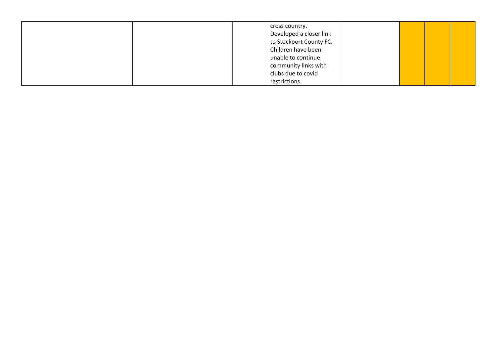| cross country.<br>Developed a closer link<br>to Stockport County FC.<br>Children have been<br>unable to continue<br>community links with<br>clubs due to covid |
|----------------------------------------------------------------------------------------------------------------------------------------------------------------|
| restrictions.                                                                                                                                                  |